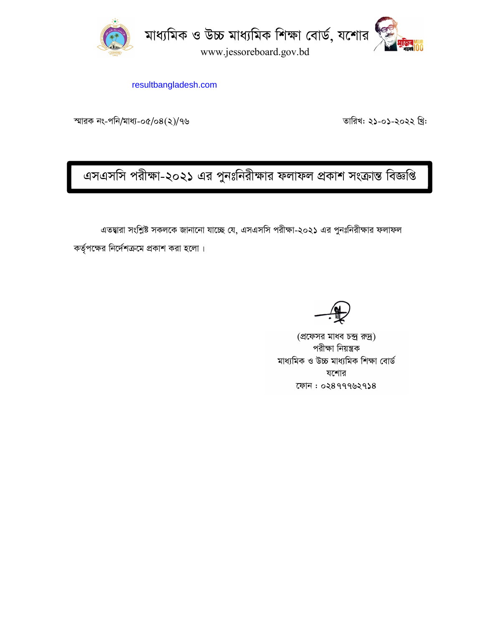

resultbangladesh.com

স্মারক নং-পনি/মাধ্য-০৫/০৪ $(2)$ /৭৬  $\blacksquare$   $\blacksquare$   $\blacksquare$   $\blacksquare$   $\blacksquare$   $\blacksquare$   $\blacksquare$   $\blacksquare$   $\blacksquare$   $\blacksquare$   $\blacksquare$   $\blacksquare$   $\blacksquare$   $\blacksquare$   $\blacksquare$   $\blacksquare$   $\blacksquare$   $\blacksquare$   $\blacksquare$   $\blacksquare$   $\blacksquare$   $\blacksquare$   $\blacksquare$   $\blacksquare$   $\blacksquare$   $\blacksquare$   $\blacks$ 

এসএসসি পরীক্ষা-২০২১ এর পুনঃনিরীক্ষার ফলাফল প্রকাশ সংক্রান্ত বিজ্ঞপ্তি

এতদ্বারা সংশ্লিষ্ট সকলকে জানানো যাচ্ছে যে, এসএসসি পরীক্ষা-২০২১ এর পুনঃনিরীক্ষার ফলাফল

কর্তৃপক্ষের নির্দেশক্রমে প্রকাশ করা হলো।

(প্রফেসর মাধব চন্দ্র রুদ্র) পরীক্ষা নিয়ন্ত্রক মাধ্যমিক ও উচ্চ মাধ্যমিক শিক্ষা বোৰ্ড যশোর  $72899992938$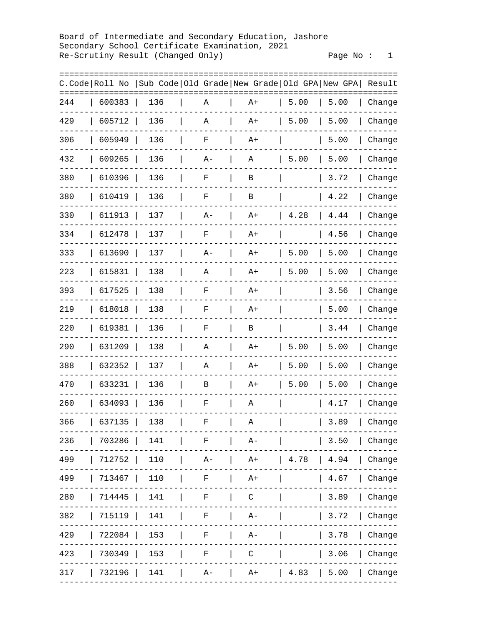Board of Intermediate and Secondary Education, Jashore Secondary School Certificate Examination, 2021 Re-Scrutiny Result (Changed Only)

|          |                |     |             | Sub Code   Old Grade   New Grade   Old GPA   New GPA   Result |      |      |           |
|----------|----------------|-----|-------------|---------------------------------------------------------------|------|------|-----------|
| ======== | C.Code Roll No |     |             |                                                               |      |      | ========= |
| 244      | 600383         | 136 | Α           | A+                                                            | 5.00 | 5.00 | Change    |
| 429      | 605712         | 136 | Α           | $A+$                                                          | 5.00 | 5.00 | Change    |
| 306      | 605949         | 136 | $\rm F$     | $A+$                                                          |      | 5.00 | Change    |
| 432      | 609265         | 136 | $A -$       | Α                                                             | 5.00 | 5.00 | Change    |
| 380      | 610396         | 136 | $\mathbf F$ | B                                                             |      | 3.72 | Change    |
| 380      | 610419         | 136 | $\mathbf F$ | B                                                             |      | 4.22 | Change    |
| 330      | 611913         | 137 | A-          | A+                                                            | 4.28 | 4.44 | Change    |
| 334      | 612478         | 137 | $\rm F$     | $A+$                                                          |      | 4.56 | Change    |
| 333      | 613690         | 137 | $A-$        | $A+$                                                          | 5.00 | 5.00 | Change    |
| 223      | 615831         | 138 | Α           | $A+$                                                          | 5.00 | 5.00 | Change    |
| 393      | 617525         | 138 | $\rm F$     | $A+$                                                          |      | 3.56 | Change    |
| 219      | 618018         | 138 | F           | $A+$                                                          |      | 5.00 | Change    |
| 220      | 619381         | 136 | F           | B                                                             |      | 3.44 | Change    |
| 290      | 631209         | 138 | Α           | $A+$                                                          | 5.00 | 5.00 | Change    |
| 388      | 632352         | 137 | Α           | $A+$                                                          | 5.00 | 5.00 | Change    |
| 470      | 633231         | 136 | В           | $A+$                                                          | 5.00 | 5.00 | Change    |
| 260      | 634093         | 136 | F           | Α                                                             |      | 4.17 | Change    |
| 366      | 637135         | 138 | F           | Α                                                             |      | 3.89 | Change    |
|          |                |     |             | 236   703286   141   F   A-     3.50   Change                 |      |      |           |
|          |                |     |             | 499   712752   110   A-   A+   4.78   4.94   Change           |      |      |           |
|          |                |     |             | 499   713467   110   F   A+     4.67                          |      |      | Change    |
| 280      |                |     |             | 714445   141   F   C     3.89                                 |      |      | Change    |
| 382      |                |     |             | 715119   141   F   A-       3.72                              |      |      | Change    |
| 429      |                |     |             | 722084   153   F   A-     3.78                                |      |      | Change    |
|          |                |     |             | 423   730349   153   F   C     3.06                           |      |      | Change    |
|          |                |     |             | 317   732196   141   A-   A+   4.83   5.00   Change           |      |      |           |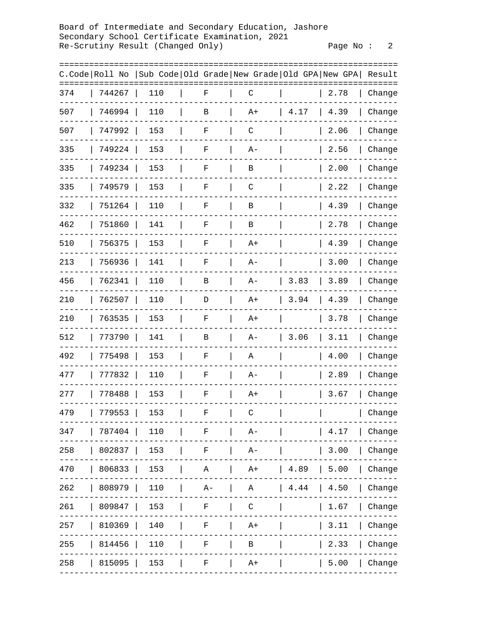Board of Intermediate and Secondary Education, Jashore Secondary School Certificate Examination, 2021 Re-Scrutiny Result (Changed Only)

Page  $No: 2$ 

| =======        |        |        |     |  |       |                                              |                |      | =====  |
|----------------|--------|--------|-----|--|-------|----------------------------------------------|----------------|------|--------|
| C.Code Roll No |        |        |     |  |       | Sub Code Old Grade New Grade Old GPA New GPA |                |      | Result |
| 374            | 744267 |        | 110 |  | F     | С                                            |                | 2.78 | Change |
| 507            | 746994 |        | 110 |  | В     | A+                                           | 4.17           | 4.39 | Change |
| 507            | 747992 |        | 153 |  | F     | $\mathsf C$                                  |                | 2.06 | Change |
| 335            |        | 749224 | 153 |  | F     | A-                                           |                | 2.56 | Change |
| 335            |        | 749234 | 153 |  | F     | В                                            |                | 2.00 | Change |
| 335            | 749579 |        | 153 |  | F     | $\mathsf C$                                  |                | 2.22 | Change |
| 332            |        | 751264 | 110 |  | F     | В                                            |                | 4.39 | Change |
| 462            | 751860 |        | 141 |  | F     | В                                            |                | 2.78 | Change |
| 510            | 756375 |        | 153 |  | F     | $A+$                                         |                | 4.39 | Change |
| 213            | 756936 |        | 141 |  | F     | A-                                           |                | 3.00 | Change |
| 456            |        | 762341 | 110 |  | В     | $A -$                                        | 3.83           | 3.89 | Change |
| 210            |        | 762507 | 110 |  | D     | $A+$                                         | 3.94           | 4.39 | Change |
| 210            | 763535 |        | 153 |  | F     | $A+$                                         |                | 3.78 | Change |
| 512            | 773790 |        | 141 |  | В     | $A -$                                        | 3.06           | 3.11 | Change |
| 492            | 775498 |        | 153 |  | F     | Α                                            |                | 4.00 | Change |
| 477            | 777832 |        | 110 |  | F     | A-                                           |                | 2.89 | Change |
| 277            | 778488 |        | 153 |  | F     | A+                                           |                | 3.67 | Change |
| 479            | 779553 |        | 153 |  | F     | C                                            |                |      | Change |
| 347            | 787404 |        | 110 |  | F     | $A -$                                        |                | 4.17 | Change |
| 258            | 802837 |        | 153 |  | F     | $A -$                                        |                | 3.00 | Change |
| 470            | 806833 |        | 153 |  | Α     | $A+$                                         | 4.89           | 5.00 | Change |
| 262            | 808979 |        | 110 |  | $A -$ | Α                                            | $4\,\ldotp 44$ | 4.50 | Change |
| 261            | 809847 |        | 153 |  | F     | $\mathsf C$                                  |                | 1.67 | Change |
| 257            | 810369 |        | 140 |  | F     | $A+$                                         |                | 3.11 | Change |
| 255            | 814456 |        | 110 |  | F     | В                                            |                | 2.33 | Change |
| 258            | 815095 |        | 153 |  | F     | A+                                           |                | 5.00 | Change |